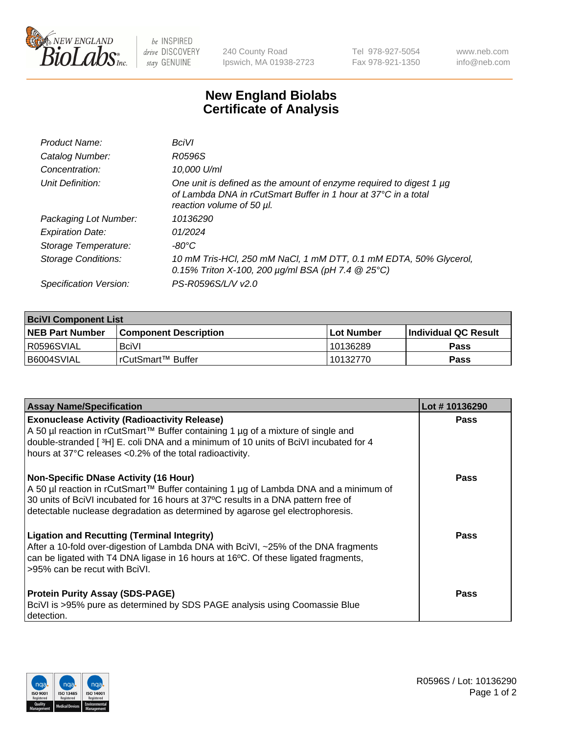

 $be$  INSPIRED drive DISCOVERY stay GENUINE

240 County Road Ipswich, MA 01938-2723 Tel 978-927-5054 Fax 978-921-1350 www.neb.com info@neb.com

## **New England Biolabs Certificate of Analysis**

| Product Name:              | BciVI                                                                                                                                                              |
|----------------------------|--------------------------------------------------------------------------------------------------------------------------------------------------------------------|
| Catalog Number:            | R0596S                                                                                                                                                             |
| Concentration:             | 10,000 U/ml                                                                                                                                                        |
| Unit Definition:           | One unit is defined as the amount of enzyme required to digest 1 µg<br>of Lambda DNA in rCutSmart Buffer in 1 hour at 37°C in a total<br>reaction volume of 50 µl. |
| Packaging Lot Number:      | 10136290                                                                                                                                                           |
| <b>Expiration Date:</b>    | 01/2024                                                                                                                                                            |
| Storage Temperature:       | $-80^{\circ}$ C                                                                                                                                                    |
| <b>Storage Conditions:</b> | 10 mM Tris-HCl, 250 mM NaCl, 1 mM DTT, 0.1 mM EDTA, 50% Glycerol,<br>0.15% Triton X-100, 200 $\mu$ g/ml BSA (pH 7.4 $\circledR$ 25°C)                              |
| Specification Version:     | PS-R0596S/L/V v2.0                                                                                                                                                 |

| <b>BciVI Component List</b> |                         |             |                       |  |
|-----------------------------|-------------------------|-------------|-----------------------|--|
| <b>NEB Part Number</b>      | l Component Description | ⊺Lot Number | ∣Individual QC Result |  |
| R0596SVIAL                  | <b>BciVI</b>            | 10136289    | <b>Pass</b>           |  |
| B6004SVIAL                  | l rCutSmart™ Buffer_    | 10132770    | <b>Pass</b>           |  |

| <b>Assay Name/Specification</b>                                                                                                                                                                                                                                                                                                                                          | Lot #10136290 |
|--------------------------------------------------------------------------------------------------------------------------------------------------------------------------------------------------------------------------------------------------------------------------------------------------------------------------------------------------------------------------|---------------|
| <b>Exonuclease Activity (Radioactivity Release)</b><br>A 50 µl reaction in rCutSmart™ Buffer containing 1 µg of a mixture of single and<br>double-stranded [3H] E. coli DNA and a minimum of 10 units of BciVI incubated for 4                                                                                                                                           | <b>Pass</b>   |
| hours at 37°C releases <0.2% of the total radioactivity.<br><b>Non-Specific DNase Activity (16 Hour)</b><br>  A 50 µl reaction in rCutSmart™ Buffer containing 1 µg of Lambda DNA and a minimum of<br>30 units of BciVI incubated for 16 hours at 37°C results in a DNA pattern free of<br>detectable nuclease degradation as determined by agarose gel electrophoresis. | Pass          |
| <b>Ligation and Recutting (Terminal Integrity)</b><br>After a 10-fold over-digestion of Lambda DNA with BciVI, ~25% of the DNA fragments<br>can be ligated with T4 DNA ligase in 16 hours at 16 <sup>o</sup> C. Of these ligated fragments,<br>l >95% can be recut with BciVI.                                                                                           | Pass          |
| <b>Protein Purity Assay (SDS-PAGE)</b><br>BciVI is >95% pure as determined by SDS PAGE analysis using Coomassie Blue<br>detection.                                                                                                                                                                                                                                       | <b>Pass</b>   |